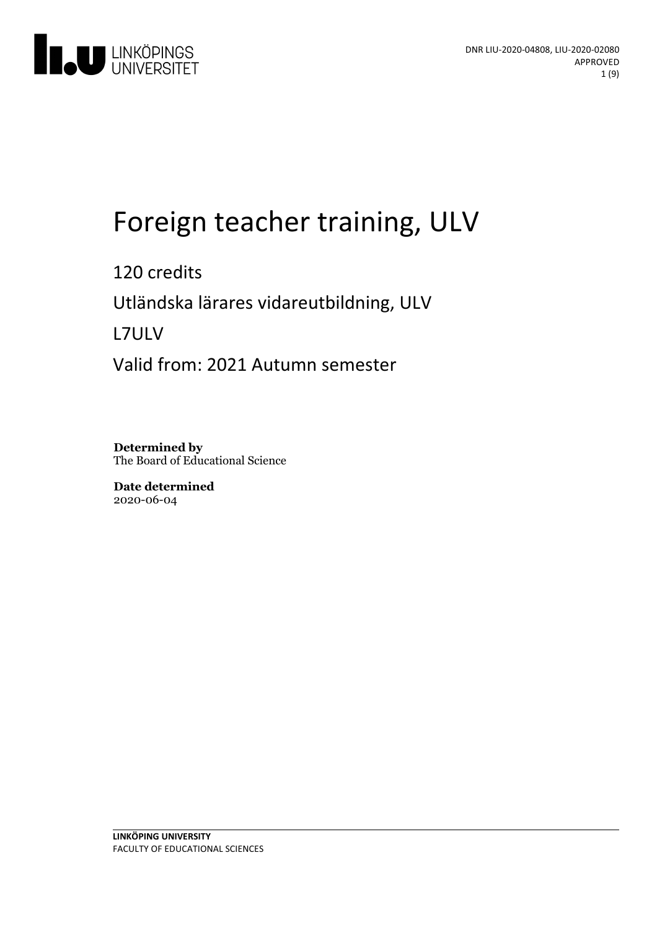

# Foreign teacher training, ULV

120 credits Utländskalärares vidareutbildning, ULV L7ULV Valid from: 2021 Autumn semester

**Determined by** The Board of Educational Science

**Date determined** 2020-06-04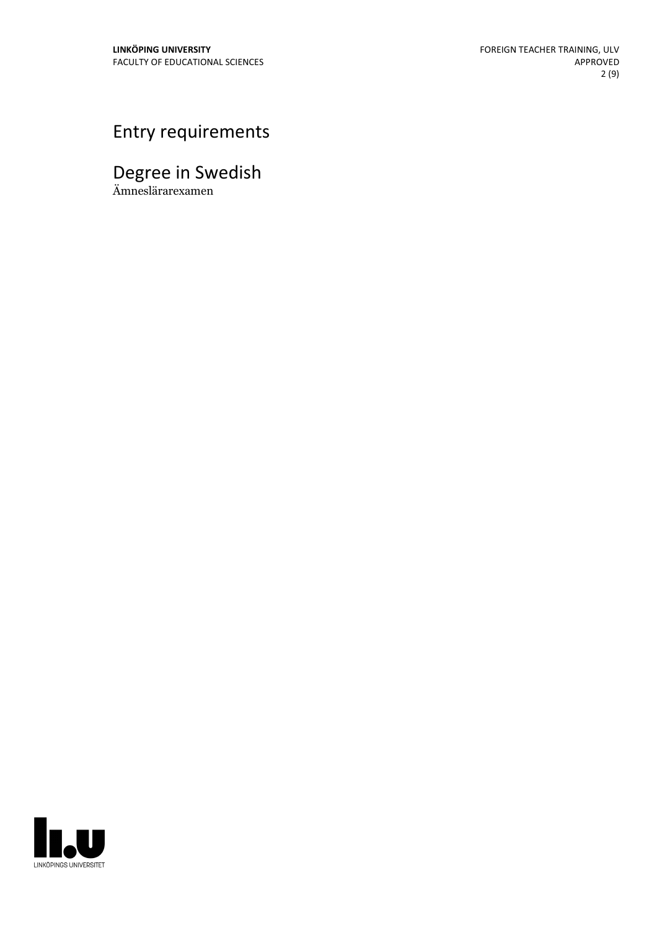# Entry requirements

# Degree in Swedish

Ämneslärarexamen

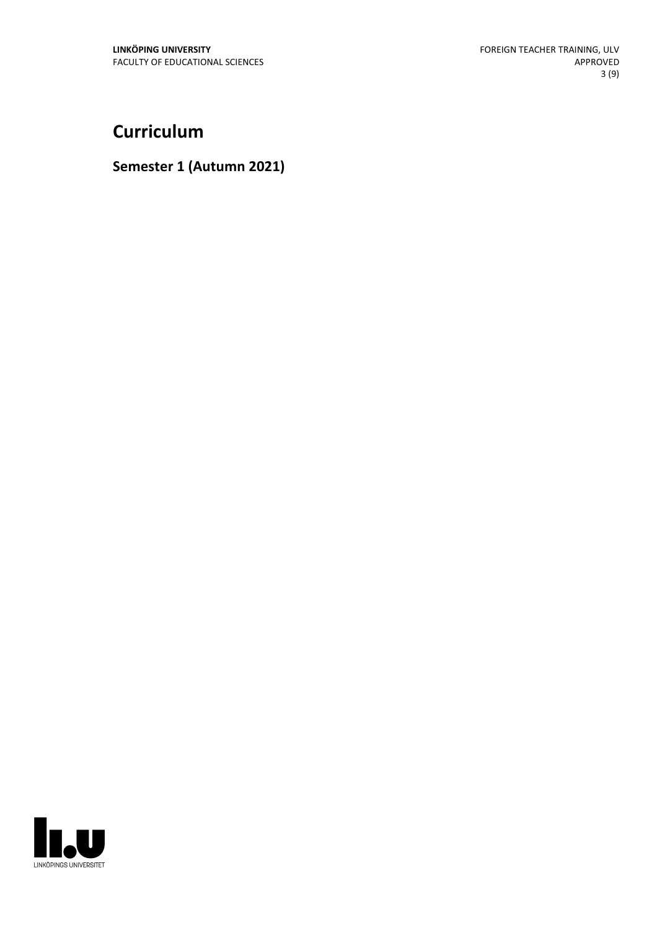## **Curriculum**

#### **Semester 1 (Autumn 2021)**

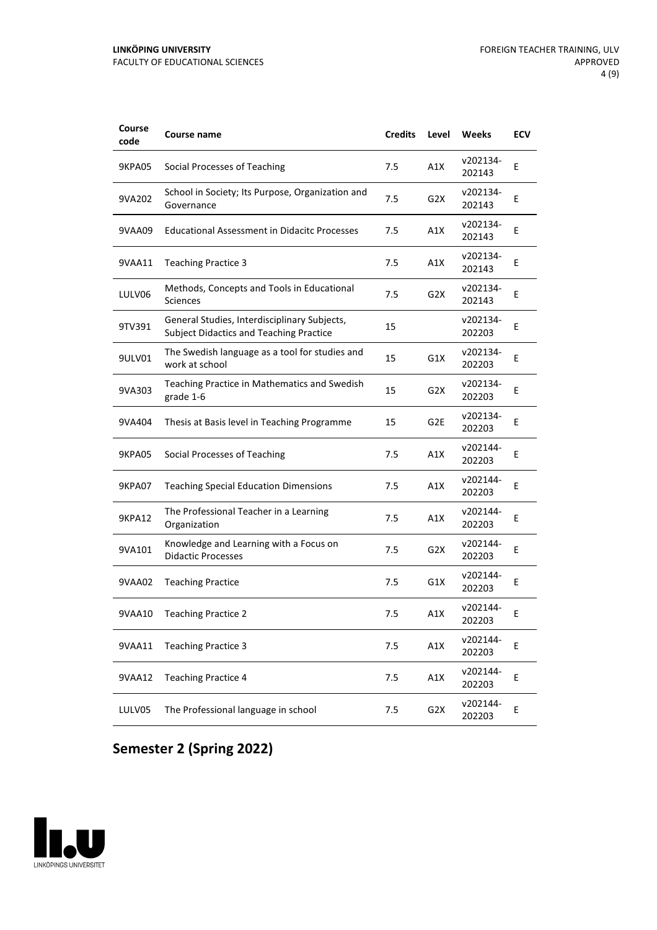| Course<br>code | Course name                                                                                    | <b>Credits</b> | Level            | Weeks              | <b>ECV</b> |
|----------------|------------------------------------------------------------------------------------------------|----------------|------------------|--------------------|------------|
| 9KPA05         | Social Processes of Teaching                                                                   | 7.5            | A1X              | v202134-<br>202143 | Ε          |
| 9VA202         | School in Society; Its Purpose, Organization and<br>Governance                                 | 7.5            | G2X              | v202134-<br>202143 | E          |
| 9VAA09         | <b>Educational Assessment in Didacitc Processes</b>                                            | 7.5            | A1X              | v202134-<br>202143 | E          |
| 9VAA11         | <b>Teaching Practice 3</b>                                                                     | 7.5            | A1X              | v202134-<br>202143 | E          |
| LULV06         | Methods, Concepts and Tools in Educational<br>Sciences                                         | 7.5            | G2X              | v202134-<br>202143 | Ε          |
| 9TV391         | General Studies, Interdisciplinary Subjects,<br><b>Subject Didactics and Teaching Practice</b> | 15             |                  | v202134-<br>202203 | E          |
| 9ULV01         | The Swedish language as a tool for studies and<br>work at school                               | 15             | G1X              | v202134-<br>202203 | E          |
| 9VA303         | Teaching Practice in Mathematics and Swedish<br>grade 1-6                                      | 15             | G <sub>2</sub> X | v202134-<br>202203 | Ε          |
| 9VA404         | Thesis at Basis level in Teaching Programme                                                    | 15             | G2E              | v202134-<br>202203 | E          |
| <b>9KPA05</b>  | Social Processes of Teaching                                                                   | 7.5            | A1X              | v202144-<br>202203 | E          |
| 9KPA07         | <b>Teaching Special Education Dimensions</b>                                                   | 7.5            | A1X              | v202144-<br>202203 | E          |
| 9KPA12         | The Professional Teacher in a Learning<br>Organization                                         | 7.5            | A1X              | v202144-<br>202203 | Ε          |
| 9VA101         | Knowledge and Learning with a Focus on<br><b>Didactic Processes</b>                            | 7.5            | G2X              | v202144-<br>202203 | E          |
| 9VAA02         | <b>Teaching Practice</b>                                                                       | 7.5            | G1X              | v202144-<br>202203 | E          |
| 9VAA10         | <b>Teaching Practice 2</b>                                                                     | 7.5            | A1X              | v202144-<br>202203 | Ε          |
| 9VAA11         | <b>Teaching Practice 3</b>                                                                     | 7.5            | A1X              | v202144-<br>202203 | Е          |
| 9VAA12         | <b>Teaching Practice 4</b>                                                                     | 7.5            | A1X              | v202144-<br>202203 | E          |
| LULV05         | The Professional language in school                                                            | 7.5            | G <sub>2</sub> X | v202144-<br>202203 | Е          |

## **Semester 2 (Spring 2022)**

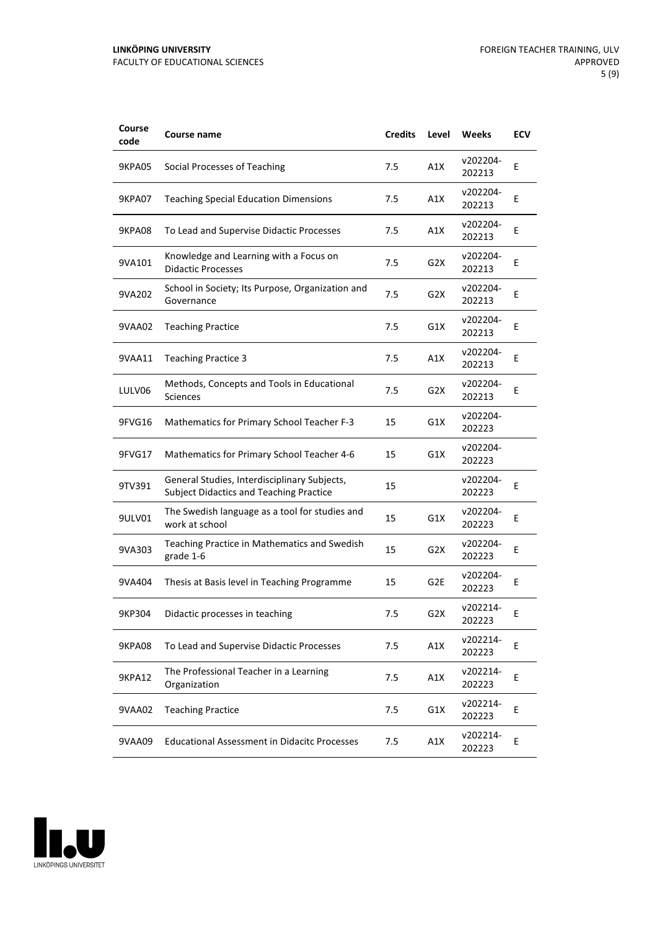| Course<br>code | <b>Course name</b>                                                                             | <b>Credits</b> | Level            | Weeks              | <b>ECV</b> |
|----------------|------------------------------------------------------------------------------------------------|----------------|------------------|--------------------|------------|
| <b>9KPA05</b>  | Social Processes of Teaching                                                                   | 7.5            | A1X              | v202204-<br>202213 | Ε          |
| 9KPA07         | <b>Teaching Special Education Dimensions</b>                                                   | 7.5            | A1X              | v202204-<br>202213 | Ε          |
| <b>9KPA08</b>  | To Lead and Supervise Didactic Processes                                                       | 7.5            | A1X              | v202204-<br>202213 | E          |
| 9VA101         | Knowledge and Learning with a Focus on<br><b>Didactic Processes</b>                            | 7.5            | G <sub>2</sub> X | v202204-<br>202213 | E          |
| 9VA202         | School in Society; Its Purpose, Organization and<br>Governance                                 | 7.5            | G2X              | v202204-<br>202213 | Ε          |
| 9VAA02         | <b>Teaching Practice</b>                                                                       | 7.5            | G1X              | v202204-<br>202213 | E          |
| 9VAA11         | <b>Teaching Practice 3</b>                                                                     | 7.5            | A1X              | v202204-<br>202213 | Е          |
| LULV06         | Methods, Concepts and Tools in Educational<br>Sciences                                         | 7.5            | G <sub>2</sub> X | v202204-<br>202213 | Ε          |
| 9FVG16         | <b>Mathematics for Primary School Teacher F-3</b>                                              | 15             | G1X              | v202204-<br>202223 |            |
| 9FVG17         | Mathematics for Primary School Teacher 4-6                                                     | 15             | G1X              | v202204-<br>202223 |            |
| 9TV391         | General Studies, Interdisciplinary Subjects,<br><b>Subject Didactics and Teaching Practice</b> | 15             |                  | v202204-<br>202223 | E          |
| 9ULV01         | The Swedish language as a tool for studies and<br>work at school                               | 15             | G1X              | v202204-<br>202223 | Ε          |
| 9VA303         | Teaching Practice in Mathematics and Swedish<br>grade 1-6                                      | 15             | G2X              | v202204-<br>202223 | Ε          |
| 9VA404         | Thesis at Basis level in Teaching Programme                                                    | 15             | G <sub>2E</sub>  | v202204-<br>202223 | E          |
| 9KP304         | Didactic processes in teaching                                                                 | 7.5            | G <sub>2</sub> X | v202214-<br>202223 | Ε          |
| <b>9KPA08</b>  | To Lead and Supervise Didactic Processes                                                       | 7.5            | A1X              | v202214-<br>202223 | E          |
| <b>9KPA12</b>  | The Professional Teacher in a Learning<br>Organization                                         | 7.5            | A1X              | v202214-<br>202223 | E          |
| 9VAA02         | <b>Teaching Practice</b>                                                                       | 7.5            | G1X              | v202214-<br>202223 | E          |
| 9VAA09         | <b>Educational Assessment in Didacitc Processes</b>                                            | 7.5            | A1X              | v202214-<br>202223 | Е          |

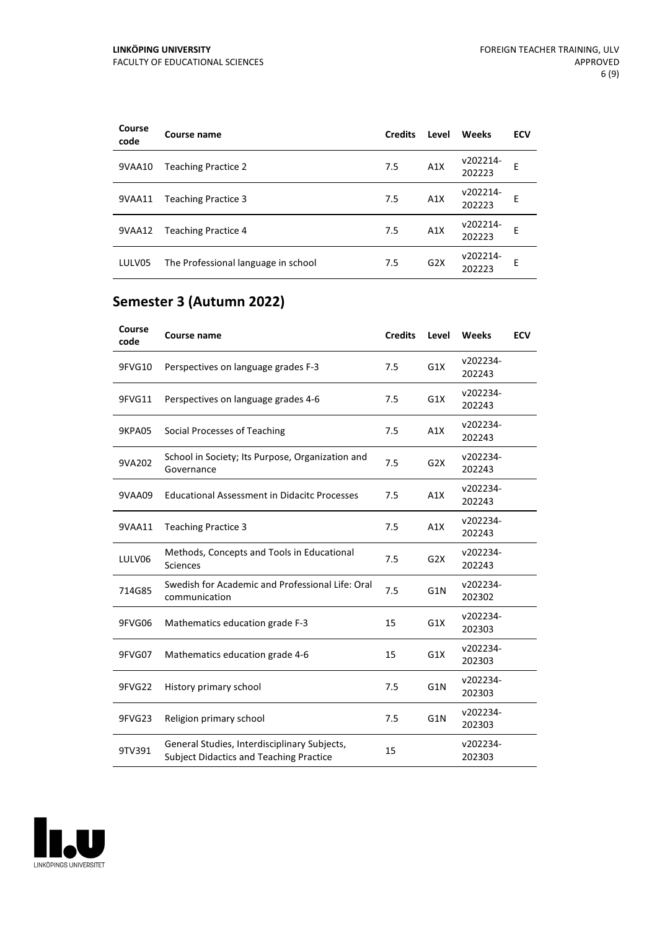| Course<br>code | Course name                         | <b>Credits</b> | Level | Weeks              | <b>ECV</b> |
|----------------|-------------------------------------|----------------|-------|--------------------|------------|
| 9VAA10         | <b>Teaching Practice 2</b>          | 7.5            | A1X   | v202214-<br>202223 | E          |
| 9VAA11         | <b>Teaching Practice 3</b>          | 7.5            | A1X   | v202214-<br>202223 | E          |
| 9VAA12         | <b>Teaching Practice 4</b>          | 7.5            | A1X   | v202214-<br>202223 | E          |
| LULV05         | The Professional language in school | 7.5            | G2X   | v202214-<br>202223 | E          |

## **Semester 3 (Autumn 2022)**

| Course<br>code | Course name                                                                                    | <b>Credits</b> | Level            | Weeks              | <b>ECV</b> |
|----------------|------------------------------------------------------------------------------------------------|----------------|------------------|--------------------|------------|
| 9FVG10         | Perspectives on language grades F-3                                                            | 7.5            | G1X              | v202234-<br>202243 |            |
| 9FVG11         | Perspectives on language grades 4-6                                                            | 7.5            | G1X              | v202234-<br>202243 |            |
| 9KPA05         | Social Processes of Teaching                                                                   | 7.5            | A1X              | v202234-<br>202243 |            |
| 9VA202         | School in Society; Its Purpose, Organization and<br>Governance                                 | 7.5            | G2X              | v202234-<br>202243 |            |
| 9VAA09         | <b>Educational Assessment in Didacitc Processes</b>                                            | 7.5            | A1X              | v202234-<br>202243 |            |
| 9VAA11         | <b>Teaching Practice 3</b>                                                                     | 7.5            | A1X              | v202234-<br>202243 |            |
| LULV06         | Methods, Concepts and Tools in Educational<br>Sciences                                         | 7.5            | G <sub>2</sub> X | v202234-<br>202243 |            |
| 714G85         | Swedish for Academic and Professional Life: Oral<br>communication                              | 7.5            | G1N              | v202234-<br>202302 |            |
| 9FVG06         | Mathematics education grade F-3                                                                | 15             | G1X              | v202234-<br>202303 |            |
| 9FVG07         | Mathematics education grade 4-6                                                                | 15             | G1X              | v202234-<br>202303 |            |
| 9FVG22         | History primary school                                                                         | 7.5            | G1N              | v202234-<br>202303 |            |
| 9FVG23         | Religion primary school                                                                        | 7.5            | G1N              | v202234-<br>202303 |            |
| 9TV391         | General Studies, Interdisciplinary Subjects,<br><b>Subject Didactics and Teaching Practice</b> | 15             |                  | v202234-<br>202303 |            |

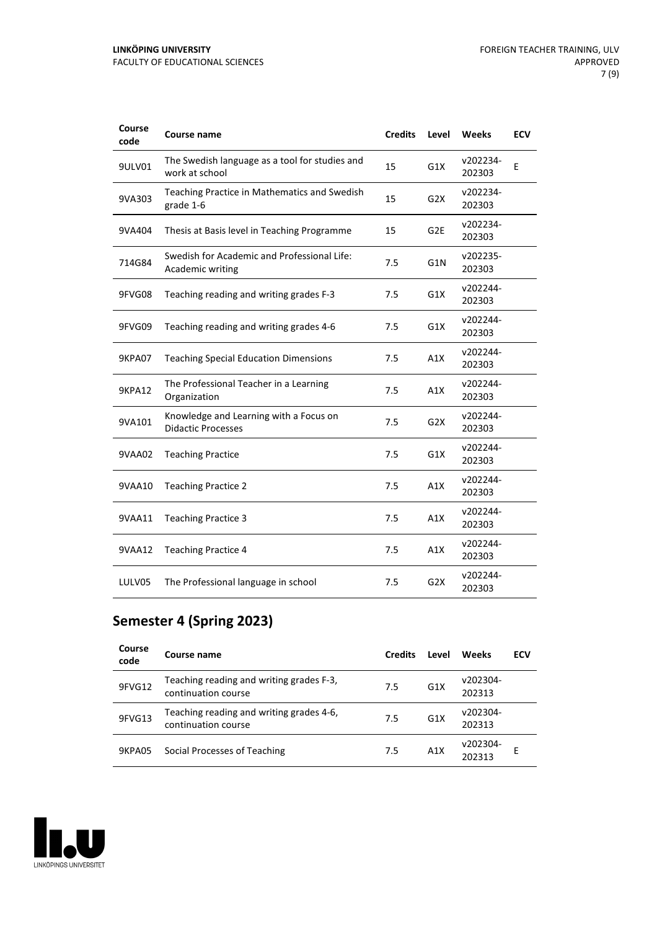| Course<br>code | Course name                                                         | <b>Credits</b> | Level            | Weeks              | <b>ECV</b> |
|----------------|---------------------------------------------------------------------|----------------|------------------|--------------------|------------|
| 9ULV01         | The Swedish language as a tool for studies and<br>work at school    | 15             | G1X              | v202234-<br>202303 | E          |
| 9VA303         | Teaching Practice in Mathematics and Swedish<br>grade 1-6           | 15             | G2X              | v202234-<br>202303 |            |
| 9VA404         | Thesis at Basis level in Teaching Programme                         | 15             | G <sub>2E</sub>  | v202234-<br>202303 |            |
| 714G84         | Swedish for Academic and Professional Life:<br>Academic writing     | 7.5            | G1N              | v202235-<br>202303 |            |
| 9FVG08         | Teaching reading and writing grades F-3                             | 7.5            | G1X              | v202244-<br>202303 |            |
| 9FVG09         | Teaching reading and writing grades 4-6                             | 7.5            | G1X              | v202244-<br>202303 |            |
| 9KPA07         | <b>Teaching Special Education Dimensions</b>                        | 7.5            | A1X              | v202244-<br>202303 |            |
| <b>9KPA12</b>  | The Professional Teacher in a Learning<br>Organization              | 7.5            | A1X              | v202244-<br>202303 |            |
| 9VA101         | Knowledge and Learning with a Focus on<br><b>Didactic Processes</b> | 7.5            | G <sub>2</sub> X | v202244-<br>202303 |            |
| 9VAA02         | <b>Teaching Practice</b>                                            | 7.5            | G1X              | v202244-<br>202303 |            |
| 9VAA10         | <b>Teaching Practice 2</b>                                          | 7.5            | A1X              | v202244-<br>202303 |            |
| 9VAA11         | <b>Teaching Practice 3</b>                                          | 7.5            | A1X              | v202244-<br>202303 |            |
| 9VAA12         | <b>Teaching Practice 4</b>                                          | 7.5            | A1X              | v202244-<br>202303 |            |
| LULV05         | The Professional language in school                                 | 7.5            | G <sub>2</sub> X | v202244-<br>202303 |            |

#### **Semester 4 (Spring 2023)**

| Course<br>code | Course name                                                     | <b>Credits</b> | Level            | Weeks              | ECV |
|----------------|-----------------------------------------------------------------|----------------|------------------|--------------------|-----|
| 9FVG12         | Teaching reading and writing grades F-3,<br>continuation course | 7.5            | G <sub>1</sub> X | v202304-<br>202313 |     |
| 9FVG13         | Teaching reading and writing grades 4-6,<br>continuation course | 7.5            | G <sub>1</sub> X | v202304-<br>202313 |     |
| 9KPA05         | Social Processes of Teaching                                    | 7.5            | A1X              | v202304-<br>202313 | F   |

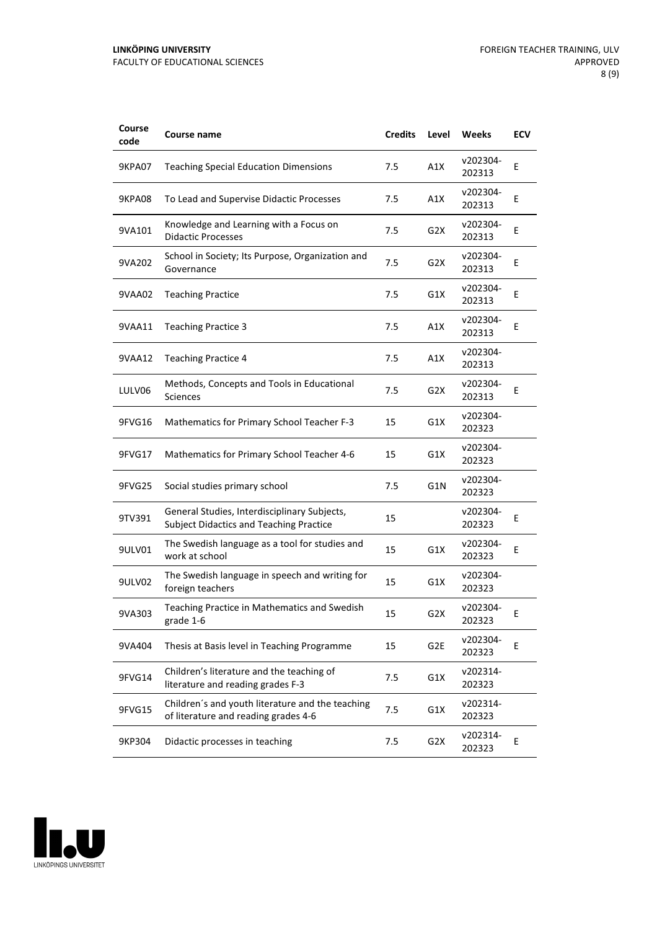| Course<br>code | Course name                                                                                    | <b>Credits</b> | Level            | Weeks              | <b>ECV</b> |
|----------------|------------------------------------------------------------------------------------------------|----------------|------------------|--------------------|------------|
| 9KPA07         | <b>Teaching Special Education Dimensions</b>                                                   | 7.5            | A1X              | v202304-<br>202313 | Ε          |
| 9KPA08         | To Lead and Supervise Didactic Processes                                                       | 7.5            | A1X              | v202304-<br>202313 | Ε          |
| 9VA101         | Knowledge and Learning with a Focus on<br><b>Didactic Processes</b>                            | 7.5            | G <sub>2</sub> X | v202304-<br>202313 | E          |
| 9VA202         | School in Society; Its Purpose, Organization and<br>Governance                                 | 7.5            | G <sub>2</sub> X | v202304-<br>202313 | E          |
| 9VAA02         | <b>Teaching Practice</b>                                                                       | 7.5            | G1X              | v202304-<br>202313 | Ε          |
| 9VAA11         | <b>Teaching Practice 3</b>                                                                     | 7.5            | A1X              | v202304-<br>202313 | E          |
| 9VAA12         | <b>Teaching Practice 4</b>                                                                     | 7.5            | A1X              | v202304-<br>202313 |            |
| LULV06         | Methods, Concepts and Tools in Educational<br>Sciences                                         | 7.5            | G <sub>2</sub> X | v202304-<br>202313 | Ε          |
| 9FVG16         | Mathematics for Primary School Teacher F-3                                                     | 15             | G1X              | v202304-<br>202323 |            |
| 9FVG17         | Mathematics for Primary School Teacher 4-6                                                     | 15             | G1X              | v202304-<br>202323 |            |
| 9FVG25         | Social studies primary school                                                                  | 7.5            | G1N              | v202304-<br>202323 |            |
| 9TV391         | General Studies, Interdisciplinary Subjects,<br><b>Subject Didactics and Teaching Practice</b> | 15             |                  | v202304-<br>202323 | Ε          |
| 9ULV01         | The Swedish language as a tool for studies and<br>work at school                               | 15             | G1X              | v202304-<br>202323 | Е          |
| 9ULV02         | The Swedish language in speech and writing for<br>foreign teachers                             | 15             | G1X              | v202304-<br>202323 |            |
| 9VA303         | Teaching Practice in Mathematics and Swedish<br>grade 1-6                                      | 15             | G <sub>2</sub> X | v202304-<br>202323 | Ε          |
| 9VA404         | Thesis at Basis level in Teaching Programme                                                    | 15             | G <sub>2E</sub>  | v202304-<br>202323 | E          |
| 9FVG14         | Children's literature and the teaching of<br>literature and reading grades F-3                 | 7.5            | G1X              | v202314-<br>202323 |            |
| 9FVG15         | Children's and youth literature and the teaching<br>of literature and reading grades 4-6       | 7.5            | G1X              | v202314-<br>202323 |            |
| 9KP304         | Didactic processes in teaching                                                                 | 7.5            | G <sub>2</sub> X | v202314-<br>202323 | Е          |